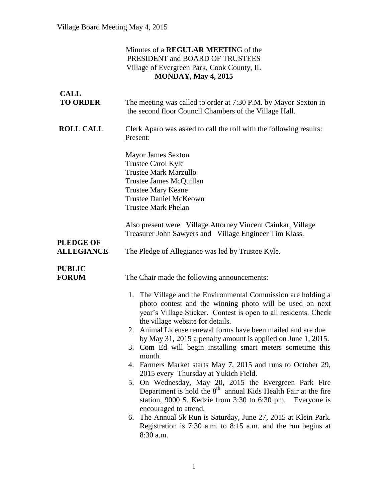### Minutes of a **REGULAR MEETIN**G of the PRESIDENT and BOARD OF TRUSTEES Village of Evergreen Park, Cook County, IL **MONDAY, May 4, 2015**

| <b>CALL</b><br><b>TO ORDER</b>        | The meeting was called to order at 7:30 P.M. by Mayor Sexton in<br>the second floor Council Chambers of the Village Hall.                                                                                                                                                                                                                                                                                                                                                                                                                                                                                                                                                                                                                                                                                                                                                               |
|---------------------------------------|-----------------------------------------------------------------------------------------------------------------------------------------------------------------------------------------------------------------------------------------------------------------------------------------------------------------------------------------------------------------------------------------------------------------------------------------------------------------------------------------------------------------------------------------------------------------------------------------------------------------------------------------------------------------------------------------------------------------------------------------------------------------------------------------------------------------------------------------------------------------------------------------|
| <b>ROLL CALL</b>                      | Clerk Aparo was asked to call the roll with the following results:<br>Present:                                                                                                                                                                                                                                                                                                                                                                                                                                                                                                                                                                                                                                                                                                                                                                                                          |
|                                       | <b>Mayor James Sexton</b><br>Trustee Carol Kyle<br><b>Trustee Mark Marzullo</b><br>Trustee James McQuillan<br><b>Trustee Mary Keane</b><br><b>Trustee Daniel McKeown</b><br><b>Trustee Mark Phelan</b>                                                                                                                                                                                                                                                                                                                                                                                                                                                                                                                                                                                                                                                                                  |
|                                       | Also present were Village Attorney Vincent Cainkar, Village<br>Treasurer John Sawyers and Village Engineer Tim Klass.                                                                                                                                                                                                                                                                                                                                                                                                                                                                                                                                                                                                                                                                                                                                                                   |
| <b>PLEDGE OF</b><br><b>ALLEGIANCE</b> | The Pledge of Allegiance was led by Trustee Kyle.                                                                                                                                                                                                                                                                                                                                                                                                                                                                                                                                                                                                                                                                                                                                                                                                                                       |
| <b>PUBLIC</b><br><b>FORUM</b>         | The Chair made the following announcements:<br>1. The Village and the Environmental Commission are holding a<br>photo contest and the winning photo will be used on next<br>year's Village Sticker. Contest is open to all residents. Check<br>the village website for details.<br>2. Animal License renewal forms have been mailed and are due<br>by May 31, 2015 a penalty amount is applied on June 1, 2015.<br>3. Com Ed will begin installing smart meters sometime this<br>month.<br>4. Farmers Market starts May 7, 2015 and runs to October 29,<br>2015 every Thursday at Yukich Field.<br>5. On Wednesday, May 20, 2015 the Evergreen Park Fire<br>Department is hold the $8th$ annual Kids Health Fair at the fire<br>station, 9000 S. Kedzie from 3:30 to 6:30 pm. Everyone is<br>encouraged to attend.<br>The Annual 5k Run is Saturday, June 27, 2015 at Klein Park.<br>6. |
|                                       | Registration is 7:30 a.m. to 8:15 a.m. and the run begins at<br>8:30 a.m.                                                                                                                                                                                                                                                                                                                                                                                                                                                                                                                                                                                                                                                                                                                                                                                                               |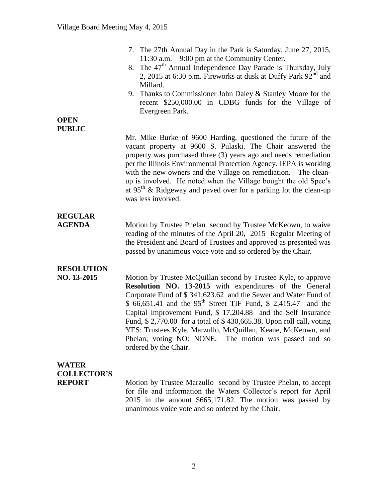|                                                     | 7. The 27th Annual Day in the Park is Saturday, June 27, 2015,<br>11:30 a.m. $-9:00$ pm at the Community Center.<br>8. The 47 <sup>th</sup> Annual Independence Day Parade is Thursday, July<br>2, 2015 at 6:30 p.m. Fireworks at dusk at Duffy Park $92nd$ and<br>Millard.<br>9. Thanks to Commissioner John Daley & Stanley Moore for the<br>recent \$250,000.00 in CDBG funds for the Village of<br>Evergreen Park.                                                                                                                                               |
|-----------------------------------------------------|----------------------------------------------------------------------------------------------------------------------------------------------------------------------------------------------------------------------------------------------------------------------------------------------------------------------------------------------------------------------------------------------------------------------------------------------------------------------------------------------------------------------------------------------------------------------|
| <b>OPEN</b><br><b>PUBLIC</b>                        | Mr. Mike Burke of 9600 Harding, questioned the future of the<br>vacant property at 9600 S. Pulaski. The Chair answered the<br>property was purchased three (3) years ago and needs remediation<br>per the Illinois Environmental Protection Agency. IEPA is working<br>with the new owners and the Village on remediation. The clean-<br>up is involved. He noted when the Village bought the old Spee's<br>at 95 <sup>th</sup> & Ridgeway and paved over for a parking lot the clean-up<br>was less involved.                                                       |
| <b>REGULAR</b><br><b>AGENDA</b>                     | Motion by Trustee Phelan second by Trustee McKeown, to waive<br>reading of the minutes of the April 20, 2015 Regular Meeting of<br>the President and Board of Trustees and approved as presented was<br>passed by unanimous voice vote and so ordered by the Chair.                                                                                                                                                                                                                                                                                                  |
| <b>RESOLUTION</b><br>NO. 13-2015                    | Motion by Trustee McQuillan second by Trustee Kyle, to approve<br>Resolution NO. 13-2015 with expenditures of the General<br>Corporate Fund of \$341,623.62 and the Sewer and Water Fund of<br>\$ 66,651.41 and the 95 <sup>th</sup> Street TIF Fund, \$ 2,415.47 and the<br>Capital Improvement Fund, \$ 17,204.88 and the Self Insurance<br>Fund, \$2,770.00 for a total of \$430,665.38. Upon roll call, voting<br>YES: Trustees Kyle, Marzullo, McQuillan, Keane, McKeown, and<br>Phelan; voting NO: NONE. The motion was passed and so<br>ordered by the Chair. |
| <b>WATER</b><br><b>COLLECTOR'S</b><br><b>REPORT</b> | Motion by Trustee Marzullo second by Trustee Phelan, to accept<br>for file and information the Waters Collector's report for April<br>2015 in the amount \$665,171.82. The motion was passed by<br>unanimous voice vote and so ordered by the Chair.                                                                                                                                                                                                                                                                                                                 |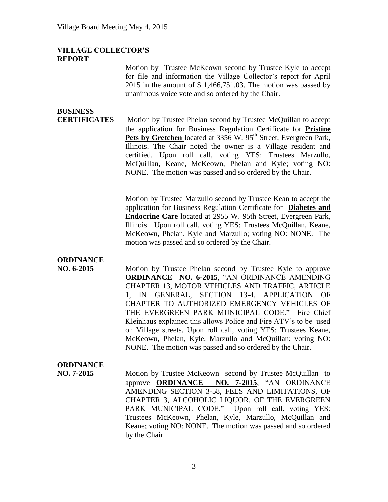#### **VILLAGE COLLECTOR'S REPORT**

Motion by Trustee McKeown second by Trustee Kyle to accept for file and information the Village Collector's report for April 2015 in the amount of \$ 1,466,751.03. The motion was passed by unanimous voice vote and so ordered by the Chair.

# **BUSINESS**

**CERTIFICATES** Motion by Trustee Phelan second by Trustee McQuillan to accept the application for Business Regulation Certificate for **Pristine**  Pets by Gretchen located at 3356 W. 95<sup>th</sup> Street, Evergreen Park, Illinois. The Chair noted the owner is a Village resident and certified. Upon roll call, voting YES: Trustees Marzullo, McQuillan, Keane, McKeown, Phelan and Kyle; voting NO: NONE. The motion was passed and so ordered by the Chair.

> Motion by Trustee Marzullo second by Trustee Kean to accept the application for Business Regulation Certificate for **Diabetes and Endocrine Care** located at 2955 W. 95th Street, Evergreen Park, Illinois. Upon roll call, voting YES: Trustees McQuillan, Keane, McKeown, Phelan, Kyle and Marzullo; voting NO: NONE. The motion was passed and so ordered by the Chair.

# **ORDINANCE**

**NO. 6-2015** Motion by Trustee Phelan second by Trustee Kyle to approve **ORDINANCE NO. 6-2015**, "AN ORDINANCE AMENDING CHAPTER 13, MOTOR VEHICLES AND TRAFFIC, ARTICLE 1, IN GENERAL, SECTION 13-4, APPLICATION OF CHAPTER TO AUTHORIZED EMERGENCY VEHICLES OF THE EVERGREEN PARK MUNICIPAL CODE." Fire Chief Kleinhaus explained this allows Police and Fire ATV's to be used on Village streets. Upon roll call, voting YES: Trustees Keane, McKeown, Phelan, Kyle, Marzullo and McQuillan; voting NO: NONE. The motion was passed and so ordered by the Chair.

## **ORDINANCE**

**NO. 7-2015** Motion by Trustee McKeown second by Trustee McQuillan to approve **ORDINANCE NO. 7-2015**, "AN ORDINANCE AMENDING SECTION 3-58, FEES AND LIMITATIONS, OF CHAPTER 3, ALCOHOLIC LIQUOR, OF THE EVERGREEN PARK MUNICIPAL CODE." Upon roll call, voting YES: Trustees McKeown, Phelan, Kyle, Marzullo, McQuillan and Keane; voting NO: NONE. The motion was passed and so ordered by the Chair.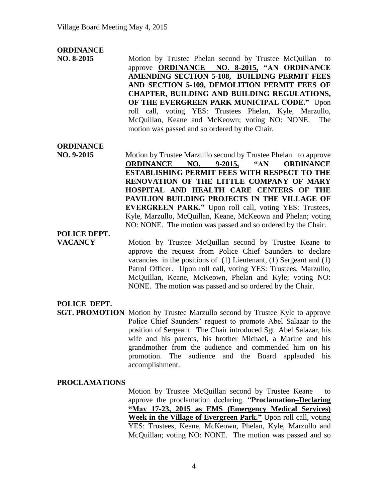### **ORDINANCE**

**NO. 8-2015** Motion by Trustee Phelan second by Trustee McQuillanto approve **ORDINANCE NO. 8-2015, "AN ORDINANCE AMENDING SECTION 5-108, BUILDING PERMIT FEES AND SECTION 5-109, DEMOLITION PERMIT FEES OF CHAPTER, BUILDING AND BUILDING REGULATIONS, OF THE EVERGREEN PARK MUNICIPAL CODE."** Upon roll call, voting YES: Trustees Phelan, Kyle, Marzullo, McQuillan, Keane and McKeown; voting NO: NONE. The motion was passed and so ordered by the Chair.

### **ORDINANCE**

**NO. 9-2015** Motion by Trustee Marzullo second by Trustee Phelan to approve **ORDINANCE NO. 9-2015, "AN ORDINANCE ESTABLISHING PERMIT FEES WITH RESPECT TO THE RENOVATION OF THE LITTLE COMPANY OF MARY HOSPITAL AND HEALTH CARE CENTERS OF THE PAVILION BUILDING PROJECTS IN THE VILLAGE OF EVERGREEN PARK."** Upon roll call, voting YES: Trustees, Kyle, Marzullo, McQuillan, Keane, McKeown and Phelan; voting NO: NONE. The motion was passed and so ordered by the Chair.

## **POLICE DEPT.**

**VACANCY** Motion by Trustee McQuillan second by Trustee Keane to approve the request from Police Chief Saunders to declare vacancies in the positions of (1) Lieutenant, (1) Sergeant and (1) Patrol Officer. Upon roll call, voting YES: Trustees, Marzullo, McQuillan, Keane, McKeown, Phelan and Kyle; voting NO: NONE. The motion was passed and so ordered by the Chair.

## **POLICE DEPT.**

**SGT. PROMOTION** Motion by Trustee Marzullo second by Trustee Kyle to approve Police Chief Saunders' request to promote Abel Salazar to the position of Sergeant. The Chair introduced Sgt. Abel Salazar, his wife and his parents, his brother Michael, a Marine and his grandmother from the audience and commended him on his promotion. The audience and the Board applauded his accomplishment.

#### **PROCLAMATIONS**

Motion by Trustee McQuillan second by Trustee Keane to approve the proclamation declaring. "**Proclamation–Declaring "May 17-23, 2015 as EMS (Emergency Medical Services) Week in the Village of Evergreen Park."** Upon roll call, voting YES: Trustees, Keane, McKeown, Phelan, Kyle, Marzullo and McQuillan; voting NO: NONE. The motion was passed and so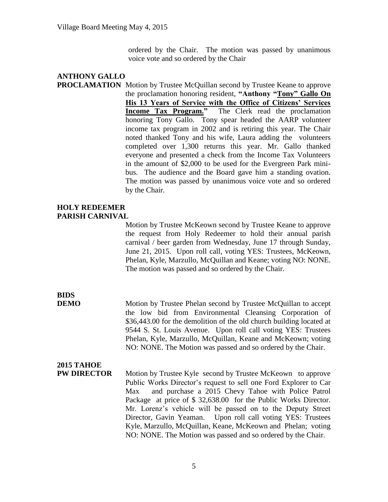ordered by the Chair. The motion was passed by unanimous voice vote and so ordered by the Chair

#### **ANTHONY GALLO PROCLAMATION** Motion by Trustee McQuillan second by Trustee Keane to approve the proclamation honoring resident, **"Anthony "Tony" Gallo On His 13 Years of Service with the Office of Citizens' Services Income Tax Program."** The Clerk read the proclamation honoring Tony Gallo. Tony spear headed the AARP volunteer income tax program in 2002 and is retiring this year. The Chair noted thanked Tony and his wife, Laura adding the volunteers completed over 1,300 returns this year. Mr. Gallo thanked everyone and presented a check from the Income Tax Volunteers in the amount of \$2,000 to be used for the Evergreen Park minibus. The audience and the Board gave him a standing ovation. The motion was passed by unanimous voice vote and so ordered by the Chair.

### **HOLY REDEEMER PARISH CARNIVAL**

Motion by Trustee McKeown second by Trustee Keane to approve the request from Holy Redeemer to hold their annual parish carnival / beer garden from Wednesday, June 17 through Sunday, June 21, 2015. Upon roll call, voting YES: Trustees, McKeown, Phelan, Kyle, Marzullo, McQuillan and Keane; voting NO: NONE. The motion was passed and so ordered by the Chair.

# **BIDS**

**DEMO** Motion by Trustee Phelan second by Trustee McQuillan to accept the low bid from Environmental Cleansing Corporation of \$36,443.00 for the demolition of the old church building located at 9544 S. St. Louis Avenue. Upon roll call voting YES: Trustees Phelan, Kyle, Marzullo, McQuillan, Keane and McKeown; voting NO: NONE. The Motion was passed and so ordered by the Chair.

# **2015 TAHOE**

**PW DIRECTOR** Motion by Trustee Kyle second by Trustee McKeown to approve Public Works Director's request to sell one Ford Explorer to Car Max and purchase a 2015 Chevy Tahoe with Police Patrol Package at price of \$ 32,638.00 for the Public Works Director. Mr. Lorenz's vehicle will be passed on to the Deputy Street Director, Gavin Yeaman. Upon roll call voting YES: Trustees Kyle, Marzullo, McQuillan, Keane, McKeown and Phelan; voting NO: NONE. The Motion was passed and so ordered by the Chair.